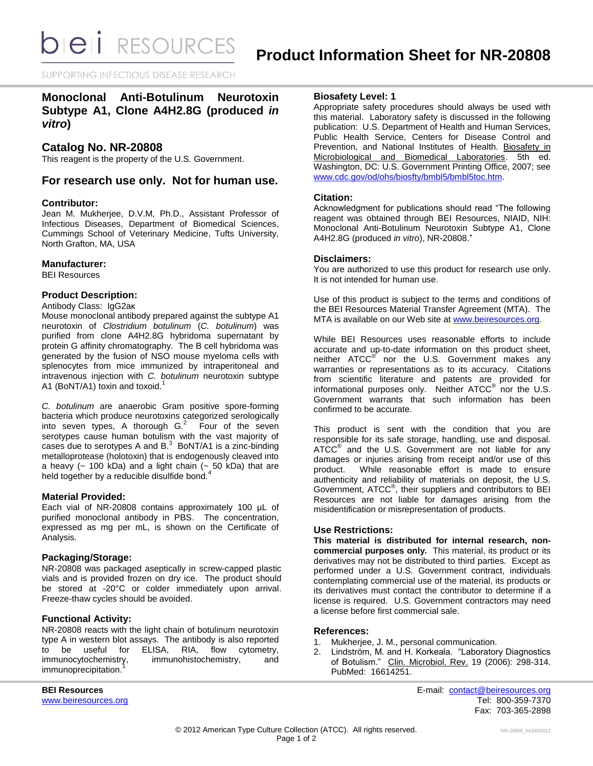SUPPORTING INFECTIOUS DISEASE RESEARCH

# **Monoclonal Anti-Botulinum Neurotoxin Subtype A1, Clone A4H2.8G (produced** *in vitro***)**

# **Catalog No. NR-20808**

This reagent is the property of the U.S. Government.

# **For research use only. Not for human use.**

### **Contributor:**

Jean M. Mukherjee, D.V.M, Ph.D., Assistant Professor of Infectious Diseases, Department of Biomedical Sciences, Cummings School of Veterinary Medicine, Tufts University, North Grafton, MA, USA

### **Manufacturer:**

BEI Resources

### **Product Description:**

Antibody Class: IgG2aκ

Mouse monoclonal antibody prepared against the subtype A1 neurotoxin of *Clostridium botulinum* (*C. botulinum*) was purified from clone A4H2.8G hybridoma supernatant by protein G affinity chromatography. The B cell hybridoma was generated by the fusion of NSO mouse myeloma cells with splenocytes from mice immunized by intraperitoneal and intravenous injection with *C. botulinum* neurotoxin subtype A1 (BoNT/A1) toxin and toxoid.<sup>1</sup>

*C. botulinum* are anaerobic Gram positive spore-forming bacteria which produce neurotoxins categorized serologically into seven types, A thorough  $G<sup>2</sup>$  Four of the seven serotypes cause human botulism with the vast majority of cases due to serotypes A and  $B<sup>3</sup>$  BoNT/A1 is a zinc-binding metalloprotease (holotoxin) that is endogenously cleaved into a heavy ( $\sim$  100 kDa) and a light chain ( $\sim$  50 kDa) that are held together by a reducible disulfide bond.<sup>4</sup>

### **Material Provided:**

Each vial of NR-20808 contains approximately 100 µL of purified monoclonal antibody in PBS. The concentration, expressed as mg per mL, is shown on the Certificate of Analysis.

# **Packaging/Storage:**

NR-20808 was packaged aseptically in screw-capped plastic vials and is provided frozen on dry ice. The product should be stored at -20°C or colder immediately upon arrival. Freeze-thaw cycles should be avoided.

# **Functional Activity:**

NR-20808 reacts with the light chain of botulinum neurotoxin type A in western blot assays. The antibody is also reported<br>to be useful for ELISA, RIA, flow cytometry, to be useful for ELISA, RIA, flow cytometry,<br>immunocytochemistry, immunohistochemistry, and immunohistochemistry, and immunoprecipitation.

### **Biosafety Level: 1**

Appropriate safety procedures should always be used with this material. Laboratory safety is discussed in the following publication: U.S. Department of Health and Human Services, Public Health Service, Centers for Disease Control and Prevention, and National Institutes of Health. Biosafety in Microbiological and Biomedical Laboratories. 5th ed. Washington, DC: U.S. Government Printing Office, 2007; see [www.cdc.gov/od/ohs/biosfty/bmbl5/bmbl5toc.htm.](http://www.cdc.gov/od/ohs/biosfty/bmbl5/bmbl5toc.htm)

### **Citation:**

Acknowledgment for publications should read "The following reagent was obtained through BEI Resources, NIAID, NIH: Monoclonal Anti-Botulinum Neurotoxin Subtype A1, Clone A4H2.8G (produced *in vitro*), NR-20808."

### **Disclaimers:**

You are authorized to use this product for research use only. It is not intended for human use.

Use of this product is subject to the terms and conditions of the BEI Resources Material Transfer Agreement (MTA). The MTA is available on our Web site at [www.beiresources.org.](http://www.beiresources.org/)

While BEI Resources uses reasonable efforts to include accurate and up-to-date information on this product sheet, neither ATCC<sup>®</sup> nor the U.S. Government makes any warranties or representations as to its accuracy. Citations from scientific literature and patents are provided for informational purposes only. Neither ATCC<sup>®</sup> nor the U.S. Government warrants that such information has been confirmed to be accurate.

This product is sent with the condition that you are responsible for its safe storage, handling, use and disposal. ATCC<sup>®</sup> and the U.S. Government are not liable for any damages or injuries arising from receipt and/or use of this product. While reasonable effort is made to ensure authenticity and reliability of materials on deposit, the U.S. Government, ATCC® , their suppliers and contributors to BEI Resources are not liable for damages arising from the misidentification or misrepresentation of products.

### **Use Restrictions:**

**This material is distributed for internal research, noncommercial purposes only.** This material, its product or its derivatives may not be distributed to third parties. Except as performed under a U.S. Government contract, individuals contemplating commercial use of the material, its products or its derivatives must contact the contributor to determine if a license is required. U.S. Government contractors may need a license before first commercial sale.

### **References:**

- 1. Mukherjee, J. M., personal communication.
- 2. Lindström, M. and H. Korkeala. "Laboratory Diagnostics of Botulism." Clin. Microbiol. Rev. 19 (2006): 298-314. PubMed: 16614251.